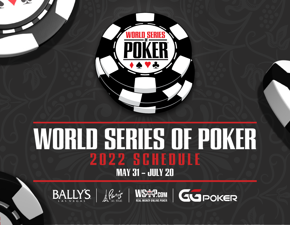

# **WORLD SERIES OF POKERMAY 31 - JULY 20**







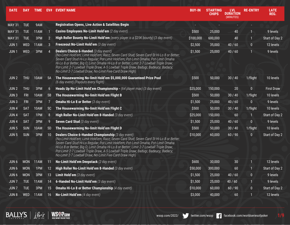| <b>DATE</b>      | <b>DAY</b> | <b>TIME</b> | EV#             | <b>EVENT NAME</b>                                                                                                                                                                                                                                                                                                                                                                                                                                                                    | <b>BUY-IN</b> | <b>STARTING</b><br><b>CHIPS</b> | <b>LVL</b><br><b>DURATION</b><br>(MINUTES) | <b>RE-ENTRY</b> | <b>LATE</b><br>REG. |
|------------------|------------|-------------|-----------------|--------------------------------------------------------------------------------------------------------------------------------------------------------------------------------------------------------------------------------------------------------------------------------------------------------------------------------------------------------------------------------------------------------------------------------------------------------------------------------------|---------------|---------------------------------|--------------------------------------------|-----------------|---------------------|
| <b>MAY 31</b>    | <b>TUE</b> | 9AM         |                 | <b>Registration Opens, Live Action &amp; Satellites Begin</b>                                                                                                                                                                                                                                                                                                                                                                                                                        |               |                                 |                                            |                 |                     |
| <b>MAY 31</b>    | <b>TUE</b> | <b>11AM</b> |                 | Casino Employees No-Limit Hold'em (2 day event)                                                                                                                                                                                                                                                                                                                                                                                                                                      | \$500         | 25,000                          | 40                                         | $\mathbf{1}$    | 9 levels            |
| <b>MAY 31</b>    | <b>TUE</b> | 3PM         | $\overline{2}$  | High Roller Bounty No-Limit Hold'em (every player is a \$25K bounty) (3 day event)                                                                                                                                                                                                                                                                                                                                                                                                   | \$100,000     | 600,000                         | 40                                         | $\mathbf{1}$    | Start of Day 2      |
| JUN <sub>1</sub> | <b>WED</b> | <b>11AM</b> | 3               | Freezeout No-Limit Hold'em (3 day event)                                                                                                                                                                                                                                                                                                                                                                                                                                             | \$2,500       | 35,000                          | 40/60                                      | $\mathbf{0}$    | 12 levels           |
| JUN <sub>1</sub> | <b>WED</b> | 3PM         | $\overline{4}$  | Dealers Choice 6-Handed (3 day event)<br>(No-Limit Hold'em; Limit Hold'em; Razz; Seven Card Stud; Seven Card St Hi-Lo 8 or Better;<br>Seven Card Stud Hi-Lo Regular; Pot-Limit Hold'em; Pot-Limit Omaha; Pot-Limit Omaha<br>Hi-Lo 8 or Better; Big O; Limit Omaha Hi-Lo 8 or Better; Limit 2-7 Lowball Triple Draw;<br>Pot-Limit 2-7 Lowball Triple Draw, A-5 Lowball Triple Draw; Badugi; Badeucy; Badacy;<br>No-Limit 2-7 Lowball Draw; No-Limit Five-Card Draw High)              | \$1,500       | 25,000                          | 40/60                                      | $\mathbf{1}$    | 9 levels            |
| JUN <sub>2</sub> | <b>THU</b> | <b>10AM</b> | 5A              | The Housewarming No-limit Hold'em \$5,000,000 Guaranteed Prize Pool<br>(6 day event) (Payouts every flight)                                                                                                                                                                                                                                                                                                                                                                          | \$500         | 50,000                          | 30/40                                      | 1/flight        | 10 levels           |
| JUN <sub>2</sub> | <b>THU</b> | 3PM         | $6\overline{6}$ | Heads Up No-Limit Hold'em Championship - (64 player max) (3 day event)                                                                                                                                                                                                                                                                                                                                                                                                               | \$25,000      | 150,000                         | 20                                         | $\mathbf{0}$    | <b>First Draw</b>   |
| JUN <sub>3</sub> | <b>FRI</b> | 10AM        | 5B              | The Housewarming No-limit Hold'em Flight B                                                                                                                                                                                                                                                                                                                                                                                                                                           | \$500         | 50,000                          | 30/40                                      | 1/flight        | 10 levels           |
| JUN <sub>3</sub> | FRI        | 3PM         | 7               | Omaha Hi-Lo 8 or Better (3 day event)                                                                                                                                                                                                                                                                                                                                                                                                                                                | \$1,500       | 25,000                          | 40/60                                      | $\bf{0}$        | 9 levels            |
| JUN <sub>4</sub> | <b>SAT</b> | 10AM        | 5C              | The Housewarming No-limit Hold'em Flight C                                                                                                                                                                                                                                                                                                                                                                                                                                           | \$500         | 50,000                          | 30/40                                      | 1/flight        | 10 levels           |
| JUN <sub>4</sub> | <b>SAT</b> | 1PM         | 8               | High Roller No-Limit Hold'em 8-Handed (3 day event)                                                                                                                                                                                                                                                                                                                                                                                                                                  | \$25,000      | 150,000                         | 60                                         | $\mathbf{1}$    | Start of Day 2      |
| JUN <sub>4</sub> | <b>SAT</b> | 3PM         | 9               | Seven Card Stud (3 day event)                                                                                                                                                                                                                                                                                                                                                                                                                                                        | \$1,500       | 25,000                          | 40/60                                      | $\mathbf{0}$    | 9 levels            |
| JUN <sub>5</sub> | <b>SUN</b> | 10AM        | 5D              | The Housewarming No-limit Hold'em Flight D                                                                                                                                                                                                                                                                                                                                                                                                                                           | \$500         | 50,000                          | 30/40                                      | 1/flight        | 10 levels           |
| JUN <sub>5</sub> | <b>SUN</b> | 3PM         | 10              | Dealers Choice 6-Handed Championship (3 day event)<br>(No-Limit Hold'em; Limit Hold'em; Razz; Seven Card Stud; Seven Card St Hi-Lo 8 or Better;<br>Seven Card Stud Hi-Lo Regular; Pot-Limit Hold'em; Pot-Limit Omaha; Pot-Limit Omaha<br>Hi-Lo 8 or Better; Big O; Limit Omaha Hi-Lo 8 or Better; Limit 2-7 Lowball Triple Draw;<br>Pot-Limit 2-7 Lowball Triple Draw, A-5 Lowball Triple Draw; Badugi; Badeucy; Badacy;<br>No-Limit 2-7 Lowball Draw; No-Limit Five-Card Draw High) | \$10,000      | 60,000                          | 60/90                                      | $\pmb{0}$       | Start of Day 2      |
| JUN <sub>6</sub> | <b>MON</b> | 11AM        | 11              | No-Limit Hold'em Deepstack (2 day event)                                                                                                                                                                                                                                                                                                                                                                                                                                             | \$600         | 30,000                          | 30                                         | $\mathbf{1}$    | 12 levels           |
| JUN <sub>6</sub> | <b>MON</b> | 1PM         | 12              | High Roller No-Limit Hold'em 8-Handed (3 day event)                                                                                                                                                                                                                                                                                                                                                                                                                                  | \$50,000      | 300,000                         | 60                                         |                 | Start of Day 2      |
| JUN <sub>6</sub> | <b>MON</b> | 3PM         | 13              | Limit Hold'em (3 day event)                                                                                                                                                                                                                                                                                                                                                                                                                                                          | \$1,500       | 25,000                          | 40/60                                      | $\bf{0}$        | 9 levels            |
| JUN <sub>7</sub> | <b>TUE</b> | <b>11AM</b> | 14              | 6-Handed No-Limit Hold'em (3 day event)                                                                                                                                                                                                                                                                                                                                                                                                                                              | \$1,500       | 25,000                          | 40/60                                      | $\mathbf{1}$    | 9 levels            |
| JUN <sub>7</sub> | <b>TUE</b> | 3PM         | 15              | <b>Omaha Hi-Lo 8 or Better Championship (4 day event)</b>                                                                                                                                                                                                                                                                                                                                                                                                                            | \$10,000      | 60,000                          | 60/90                                      | $\pmb{0}$       | Start of Day 2      |
| JUN <sub>8</sub> | <b>WED</b> | 11AM        | 16              | No-Limit Hold'em (4 day event)                                                                                                                                                                                                                                                                                                                                                                                                                                                       | \$3,000       | 40,000                          | 60                                         | $\mathbf{1}$    | 12 levels           |

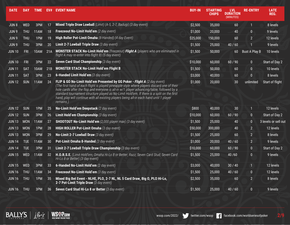| <b>DATE</b>      | DAY        | <b>TIME</b> |     | <b>EV# EVENT NAME</b>                                                                                                                                                                                                                                                                                                                                                                                                                                                         | <b>BUY-IN</b> | <b>STARTING</b><br><b>CHIPS</b> | <b>LVL</b><br><b>DURATION</b><br>(MINUTES) | <b>RE-ENTRY</b>      | <b>LATE</b><br>REG.  |
|------------------|------------|-------------|-----|-------------------------------------------------------------------------------------------------------------------------------------------------------------------------------------------------------------------------------------------------------------------------------------------------------------------------------------------------------------------------------------------------------------------------------------------------------------------------------|---------------|---------------------------------|--------------------------------------------|----------------------|----------------------|
| JUN <sub>8</sub> | <b>WED</b> | 3PM         | 17  | Mixed Triple Draw Lowball (Limit) (A-5, 2-7, Baduqi) (3 day event)                                                                                                                                                                                                                                                                                                                                                                                                            | \$2,500       | 35,000                          | 60                                         | $\mathbf{1}$         | 8 levels             |
| JUN <sub>9</sub> | <b>THU</b> | 11AM        | 18  | Freezeout No-Limit Hold'em (2 day event)                                                                                                                                                                                                                                                                                                                                                                                                                                      | \$1,000       | 20,000                          | 40                                         | $\overline{0}$       | 9 levels             |
| JUN <sub>9</sub> | THU        | 1PM         | 19  | High Roller Pot-Limit Omaha (8-Handed) (4 day Event)                                                                                                                                                                                                                                                                                                                                                                                                                          | \$25,000      | 150,000                         | 60                                         | $\overline{2}$       | 12 levels            |
| JUN <sub>9</sub> | <b>THU</b> | 3PM         | 20  | Limit 2-7 Lowball Triple Draw (3 day event)                                                                                                                                                                                                                                                                                                                                                                                                                                   | \$1,500       | 25,000                          | 40/60                                      |                      | 9 levels             |
| <b>JUN 10</b>    | <b>FRI</b> | 10AM        | 21A | MONSTER STACK No-Limit Hold'em (freezeout) Flight A (players who are eliminated in<br>flight A may re-enter into flight B) (5 day event)                                                                                                                                                                                                                                                                                                                                      | \$1,500       | 50,000                          | 60                                         | <b>Bust A Play B</b> | 10 levels            |
| <b>JUN 10</b>    | <b>FRI</b> | 3PM         | 22  | Seven Card Stud Championship (3 day event)                                                                                                                                                                                                                                                                                                                                                                                                                                    | \$10,000      | 60,000                          | 60/90                                      | $\mathbf{0}$         | Start of Day 2       |
| <b>JUN 11</b>    | <b>SAT</b> | 10AM        | 21B | <b>MONSTER STACK No-Limit Hold'em Flight B</b>                                                                                                                                                                                                                                                                                                                                                                                                                                | \$1,500       | 50,000                          | 60                                         | $\bf{0}$             | 10 levels            |
| <b>JUN 11</b>    | <b>SAT</b> | 3PM         | 23  | 6-Handed Limit Hold'em (3 day event)                                                                                                                                                                                                                                                                                                                                                                                                                                          | \$3,000       | 40,000                          | 60                                         | $\overline{0}$       | 8 levels             |
| <b>JUN 12</b>    | <b>SUN</b> | 11AM        | 24  | FLIP & GO No-Limit Hold'em Presented by GG Poker - Flight A (2 day event)<br>(The first hand of each flight is played pineapple style where players discard one of their<br>hole cards after the flop and everyone is all-in w/1 player advancing/table, followed by a<br>standard tournament structure played as No-Limit Hold'em. If there is a split on the first<br>hand, play will continue with all existing players being all-in each hand until 1 player<br>remains.) | \$1,000       | 20,000                          | 30                                         | unlimited            | Start of flight      |
| <b>JUN 12</b>    | <b>SUN</b> | 1PM         | 25  | No-Limit Hold'em Deepstack (2 day event)                                                                                                                                                                                                                                                                                                                                                                                                                                      | \$800         | 40,000                          | 30                                         | $\mathbf{1}$         | 12 levels            |
| <b>JUN 12</b>    | <b>SUN</b> | 3PM         | 26  | Limit Hold'em Championship (3 day event)                                                                                                                                                                                                                                                                                                                                                                                                                                      | \$10,000      | 60,000                          | 60/90                                      | $\mathbf{0}$         | Start of Day 2       |
| <b>JUN 13</b>    | <b>MON</b> | <b>11AM</b> | 27  | SHOOTOUT No-Limit Hold'em (2,000 player max) (3 day event)                                                                                                                                                                                                                                                                                                                                                                                                                    | \$1,500       | 25,000                          | 40                                         | $\bf{0}$             | 3 levels or sell out |
| <b>JUN 13</b>    | <b>MON</b> | 1PM         | 28  | HIGH ROLLER Pot-Limit Omaha (3 day event)                                                                                                                                                                                                                                                                                                                                                                                                                                     | \$50,000      | 300,000                         | 40                                         | $\overline{2}$       | 12 levels            |
| <b>JUN 13</b>    | <b>MON</b> | 3PM         | 29  | No-Limit 2-7 Lowball Draw (3 day event)                                                                                                                                                                                                                                                                                                                                                                                                                                       | \$1,500       | 25,000                          | 60                                         | $\overline{2}$       | 8 levels             |
| <b>JUN 14</b>    | <b>TUE</b> | 11AM        | 30  | Pot-Limit Omaha 8-Handed (3 day event)                                                                                                                                                                                                                                                                                                                                                                                                                                        | \$1,000       | 20,000                          | 40/60                                      | $\overline{2}$       | 9 levels             |
| <b>JUN 14</b>    | <b>TUE</b> | 3PM         | 31  | Limit 2-7 Lowball Triple Draw Championship (3 day event)                                                                                                                                                                                                                                                                                                                                                                                                                      | \$10,000      | 60,000                          | 60/90                                      | $\mathbf{0}$         | Start of Day 2       |
| <b>JUN 15</b>    | <b>WED</b> | 11AM        | 32  | H.O.R.S.E. (Limit Hold'em; Omaha Hi-Lo 8 or Better; Razz; Seven Card Stud; Seven Card<br>Hi-Lo 8 or Better) (3 day event)                                                                                                                                                                                                                                                                                                                                                     | \$1,500       | 25,000                          | 40/60                                      | $\mathbf{0}$         | 9 levels             |
| <b>JUN 15</b>    | <b>WED</b> | 3PM         | 33  | 6-Handed No-Limit Hold'em (2 day event)                                                                                                                                                                                                                                                                                                                                                                                                                                       | \$3,000       | 40,000                          | 30/40                                      | $\mathbf{1}$         | 12 levels            |
| <b>JUN 16</b>    | <b>THU</b> | 11AM        | 34  | Freezeout No-Limit Hold'em (3 day event)                                                                                                                                                                                                                                                                                                                                                                                                                                      | \$1,500       | 25,000                          | 40/60                                      | $\bf{0}$             | 12 levels            |
| <b>JUN 16</b>    | <b>THU</b> | 1PM         | 35  | Mixed Big Bet Event - NLHE, PLO, 2-7 NL, NL 5 Card Draw, Big O, PLO Hi-Lo,<br>2-7 Pot-Limit Triple Draw (3 day event)                                                                                                                                                                                                                                                                                                                                                         | \$2,500       | 35,000                          | 60                                         | $\overline{2}$       | 8 levels             |
| <b>JUN 16</b>    | <b>THU</b> | 3PM         | 36  | Seven Card Stud Hi-Lo 8 or Better (3 day event)                                                                                                                                                                                                                                                                                                                                                                                                                               | \$1,500       | 25,000                          | 40 / 60                                    | $\overline{0}$       | 9 levels             |
|                  |            |             |     |                                                                                                                                                                                                                                                                                                                                                                                                                                                                               |               |                                 |                                            |                      |                      |

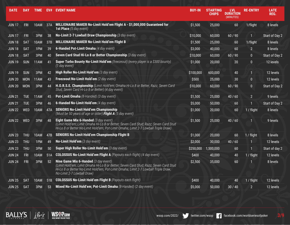| <b>DATE</b>   | <b>DAY</b> | <b>TIME</b> | EV# | <b>EVENT NAME</b>                                                                                                                                                                                                                                  | <b>BUY-IN</b> | <b>STARTING</b><br>CHIPS | <b>LVL</b><br><b>DURATION</b><br>(MINUTES) | <b>RE-ENTRY</b> | <b>LATE</b><br>REG. |
|---------------|------------|-------------|-----|----------------------------------------------------------------------------------------------------------------------------------------------------------------------------------------------------------------------------------------------------|---------------|--------------------------|--------------------------------------------|-----------------|---------------------|
| <b>JUN 17</b> | <b>FRI</b> | 10AM        | 37A | MILLIONAIRE MAKER No-Limit Hold'em Flight A - \$1,000,000 Guaranteed for<br><b>1st Place</b> (5 day event)                                                                                                                                         | \$1,500       | 25,000                   | 60                                         | 1/flight        | 8 levels            |
| <b>JUN17</b>  | FRI        | 3PM         | 38  | No-Limit 2-7 Lowball Draw Championship (3 day event)                                                                                                                                                                                               | \$10,000      | 60,000                   | 60/90                                      | 1               | Start of Day 2      |
| <b>JUN 18</b> | <b>SAT</b> | 10AM        | 37B | <b>MILLIONAIRE MAKER No-Limit Hold'em Flight B</b>                                                                                                                                                                                                 | \$1,500       | 25,000                   | 60                                         | 1/flight        | 8 levels            |
| <b>JUN 18</b> | <b>SAT</b> | 1PM         | 39  | 6-Handed Pot-Limit Omaha (4 day event)                                                                                                                                                                                                             | \$3,000       | 40,000                   | 60                                         | $\overline{2}$  | 8 levels            |
| <b>JUN 18</b> | <b>SAT</b> | 3PM         | 40  | Seven Card Stud Hi-Lo 8 or Better Championship (3 day event)                                                                                                                                                                                       | \$10,000      | 60,000                   | 60/90                                      | $\bf{0}$        | Start of Day 2      |
| <b>JUN 19</b> | <b>SUN</b> | 11AM        | 41  | Super Turbo Bounty No-Limit Hold'em (freezeout) (every player is a \$300 bounty)<br>(1 day event)                                                                                                                                                  | \$1,000       | 20,000                   | 20                                         | $\pmb{0}$       | 12 levels           |
| <b>JUN 19</b> | <b>SUN</b> | 3PM         | 42  | High Roller No-Limit Hold'em (3 day event)                                                                                                                                                                                                         | \$100,000     | 600,000                  | 40                                         | $\mathbf{1}$    | 12 levels           |
| <b>JUN 20</b> | <b>MON</b> | <b>11AM</b> | 43  | Freezeout No-Limit Hold'em (2 day event)                                                                                                                                                                                                           | \$500         | 25,000                   | 30                                         | $\bf{0}$        | 12 levels           |
| <b>JUN 20</b> | <b>MON</b> | 3PM         | 44  | H.O.R.S.E. Championship (Limit Hold'em; Omaha Hi-Lo 8 or Better, Razz, Seven Card<br>Stud, Seven Card Hi-Lo 8 or Better) (4 day event)                                                                                                             | \$10,000      | 60,000                   | 60/90                                      | $\pmb{0}$       | Start of Day 2      |
| <b>JUN 21</b> | <b>TUE</b> | 11AM        | 45  | Pot-Limit Omaha (8-Handed) (3 day event)                                                                                                                                                                                                           | \$1,500       | 25,000                   | 40/60                                      | $\overline{2}$  | 9 levels            |
| <b>JUN 21</b> | <b>TUE</b> | 3PM         | 46  | 6-Handed No-Limit Hold'em (4 day event)                                                                                                                                                                                                            | \$5,000       | 50,000                   | 60                                         |                 | Start of Day 2      |
| <b>JUN 22</b> | <b>WED</b> | 10AM        | 47A | <b>SENIORS No-Limit Hold'em Championship</b><br>(Must be 50 years of age or older) Flight $\overline{A}$ (5 day event)                                                                                                                             | \$1,000       | 20,000                   | 60                                         | 1 / flight      | 8 levels            |
| <b>JUN 22</b> | <b>WED</b> | 3PM         | 48  | Eight Game Mix 6-Handed (3 day event)<br>(Limit Hold'em; Limit Omaha Hi-Lo 8 or Better; Seven Card Stud; Razz; Seven Card Stud<br>Hi-Lo 8 or Better No-Limit Hold'em; Pot-Limit Omaha; Limit 2-7 Lowball Triple Draw)                              | \$1,500       | 25,000                   | 40/60                                      | 1               | 9 levels            |
| <b>JUN 23</b> | <b>THU</b> | <b>10AM</b> | 47B | <b>SENIORS No-Limit Hold'em Championship Flight B</b>                                                                                                                                                                                              | \$1,000       | 20,000                   | 60                                         | 1 / flight      | 8 levels            |
| <b>JUN 23</b> | <b>THU</b> | 1PM         | 49  | No-Limit Hold'em (3 day event)                                                                                                                                                                                                                     | \$2,000       | 30,000                   | 40/60                                      |                 | 12 levels           |
| <b>JUN 23</b> | <b>THU</b> | 3PM         | 50  | Super High Roller No-Limit Hold'em (3 day event)                                                                                                                                                                                                   | \$250,000     | 1,500,000                | 60                                         | 1               | Start of day 2      |
| <b>JUN 24</b> | <b>FRI</b> | <b>10AM</b> | 51A | <b>COLOSSUS No-Limit Hold'em Flight A</b> (Payouts each flight) (4 day event)                                                                                                                                                                      | \$400         | 40,000                   | 40                                         | 1 / flight      | 12 levels           |
| <b>JUN 24</b> | <b>FRI</b> | 3PM         | 52  | Nine Game Mix 6-Handed (3 day event)<br>(Limit Hold'em; Limit Omaha Hi-Lo 8 or Better; Seven Card Stud; Razz; Seven Card Stud<br>Hi-Lo 8 or Better No-Limit Hold'em; Pot-Limit Omaha; Limit 2-7 Lowball Triple Draw,<br>No-Limit 2-7 Lowball Draw) | \$2,500       | 35,000                   | 60                                         |                 | 8 levels            |
| <b>JUN 25</b> | <b>SAT</b> | 10AM        | 51B | <b>COLOSSUS No-Limit Hold'em Flight B</b> (Payouts each flight)                                                                                                                                                                                    | \$400         | 40,000                   | 40                                         | 1 / flight      | 12 levels           |
| <b>JUN 25</b> | <b>SAT</b> | 3PM         | 53  | Mixed No-Limit Hold'em; Pot-Limit Omaha (8-Handed) (2 day event)                                                                                                                                                                                   | \$5,000       | 50,000                   | 30/40                                      | $\overline{2}$  | 12 levels           |

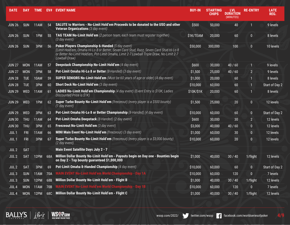| <b>DATE</b>      | <b>DAY</b> | <b>TIME</b> | EV# | <b>EVENT NAME</b>                                                                                                                                                                                                                                         | <b>BUY-IN</b> | <b>STARTING</b><br><b>CHIPS</b> | <b>LVL</b><br><b>DURATION</b><br>(MINUTES) | <b>RE-ENTRY</b>  | <b>LATE</b><br>REG. |
|------------------|------------|-------------|-----|-----------------------------------------------------------------------------------------------------------------------------------------------------------------------------------------------------------------------------------------------------------|---------------|---------------------------------|--------------------------------------------|------------------|---------------------|
| <b>JUN 26</b>    | <b>SUN</b> | 11AM        | 54  | SALUTE to Warriors - No-Limit Hold'em Proceeds to be donated to the USO and other<br><b>Veteran Organizations</b> (3 day event)                                                                                                                           | \$500         | 50,000                          | 40                                         | $\mathbf{1}$     | 9 levels            |
| <b>JUN 26</b>    | <b>SUN</b> | 1PM         | 55  | TAG TEAM No-Limit Hold'em (2 person team, each team must register together)<br>$(3$ day event)                                                                                                                                                            | \$1K/TEAM     | 20,000                          | 60                                         | $\bf{0}$         | 8 levels            |
| <b>JUN 26</b>    | <b>SUN</b> | 3PM         | 56  | Poker Players Championship 6-Handed (5 day event)<br>(Limit Hold'em, Omaha Hi-Lo 8 or Better, Seven Card Stud, Razz, Seven Card Stud Hi-Lo 8<br>or Better No-Limit Hold'em, Pot-Limit Omaha, Limit 2-7 Lowball Triple Draw, No-Limit 2-7<br>Lowball Draw) | \$50,000      | 300,000                         | 100                                        | $\bf{0}$         | 10 levels           |
| <b>JUN 27</b>    | <b>MON</b> | 11AM        | 57  | <b>Deepstack Championship No-Limit Hold'em (4 day event)</b>                                                                                                                                                                                              | \$600         | 30,000                          | 40/60                                      | $\mathbf{1}$     | 9 levels            |
| <b>JUN 27</b>    | <b>MON</b> | 3PM         | 58  | Pot-Limit Omaha Hi-Lo 8 or Better (8-Handed) (3 day event)                                                                                                                                                                                                | \$1,500       | 25,000                          | 40/60                                      | $\overline{2}$   | 9 levels            |
| <b>JUN 28</b>    | <b>TUE</b> | 10AM        | 59  | <b>SUPER SENIORS No-Limit Hold'em</b> (Must be 60 years of age or older) (4 day event)                                                                                                                                                                    | \$1,000       | 20,000                          | 60                                         | $\blacksquare$   | 8 levels            |
| <b>JUN 28</b>    | <b>TUE</b> | 3PM         | 60  | <b>Short Deck No-Limit Hold'em (3 day event)</b>                                                                                                                                                                                                          | \$10,000      | 60,000                          | 60                                         | 1                | Start of Day 2      |
| <b>JUN 29</b>    | <b>WED</b> | 11AM        | 61  | LADIES No-Limit Hold'em Championship (4 day event) (Event Entry is \$10K; Ladies<br>Discounted Price is \$1K)                                                                                                                                             | \$10K/\$1K    | 20,000                          | 60                                         | 1                | 8 levels            |
| <b>JUN 29</b>    | WED        | 1PM         | 62  | <b>Super Turbo Bounty No-Limit Hold'em</b> (freezeout) (every player is a \$500 bounty)<br>(1 day event)                                                                                                                                                  | \$1,500       | 25,000                          | 20                                         | $\overline{0}$   | 12 levels           |
| <b>JUN 29</b>    | <b>WED</b> | 3PM         | 63  | Pot-Limit Omaha Hi-Lo 8 or Better Championship (8-Handed) (4 day event)                                                                                                                                                                                   | \$10,000      | 60,000                          | 60                                         | $\bf{0}$         | Start of Day 2      |
| <b>JUN 30</b>    | <b>THU</b> | 11AM        | 64  | Pot-Limit Omaha Deepstack (8-Handed) (2 day event)                                                                                                                                                                                                        | \$600         | 30,000                          | 30                                         | 2 <sub>1</sub>   | 12 levels           |
| <b>JUN 30</b>    | <b>THU</b> | 3PM         | 65  | <b>Freezeout No-Limit Hold'em (3 day event)</b>                                                                                                                                                                                                           | \$3,000       | 40,000                          | 40/60                                      | $\boldsymbol{0}$ | 12 levels           |
| JUL <sub>1</sub> | <b>FRI</b> | 11AM        | 66  | MINI Main Event No-Limit Hold'em (freezeout) (3 day event)                                                                                                                                                                                                | \$1,000       | 60,000                          | 30                                         | $\bf{0}$         | 12 levels           |
| JUL <sub>1</sub> | <b>FRI</b> | 3PM         | 67  | Super Turbo Bounty No-Limit Hold'em (freezeout) (every player is a \$3,000 bounty)<br>(2 day event)                                                                                                                                                       | \$10,000      | 60,000                          | 20                                         | $\bf{0}$         | 12 levels           |
| JUL <sub>2</sub> | <b>SAT</b> |             |     | Main Event Satellite Days July 2 - 7                                                                                                                                                                                                                      |               |                                 |                                            |                  |                     |
| JUL <sub>2</sub> | <b>SAT</b> | 12PM        | 68A | Million Dollar Bounty No-Limit Hold'em - Payouts begin on Day one - Bounties begin<br>on Day 2 - Top bounty guaranteed \$1,000,000                                                                                                                        | \$1,000       | 40,000                          | 30/40                                      | 1/flight         | 12 levels           |
| JUL2             | <b>SAT</b> | 3PM         | 69  | Pot-Limit Omaha 8-Handed Championship (4 day event)                                                                                                                                                                                                       | \$10,000      | 60,000                          | 60                                         | $\bf{0}$         | Start of Day 2      |
| JUL3             | <b>SUN</b> | 11AM        | 70A | <b>MAIN EVENT No-Limit Hold'em World Championship - Day 1A</b>                                                                                                                                                                                            | \$10,000      | 60,000                          | 120                                        | $\pmb{0}$        | 7 levels            |
| JUL3             | <b>SUN</b> | 12PM        | 68B | Million Dollar Bounty No-Limit Hold'em - Flight B                                                                                                                                                                                                         | \$1,000       | 40,000                          | 30/40                                      | 1/flight         | 12 levels           |
| JUL <sub>4</sub> | <b>MON</b> | 11AM        | 70B | MAIN EVENT No-Limit Hold'em World Championship - Day 1B                                                                                                                                                                                                   | \$10,000      | 60,000                          | 120                                        | $\pmb{0}$        | 7 levels            |
| JUL <sub>4</sub> |            | MON 12PM    |     | 68C Million Dollar Bounty No-Limit Hold'em - Flight C                                                                                                                                                                                                     | \$1,000       | 40,000                          | 30/40                                      | 1/flight         | 12 levels           |

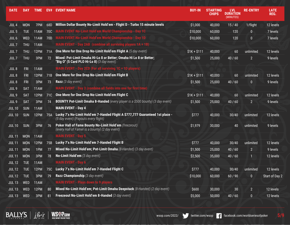| <b>DATE</b>      | <b>DAY</b> | <b>TIME</b> | EV#             | <b>EVENT NAME</b>                                                                                                     | <b>BUY-IN</b> | <b>STARTING</b><br><b>CHIPS</b> | <b>LVL</b><br><b>DURATION</b><br>(MINUTES) | <b>RE-ENTRY</b>  | <b>LATE</b><br>REG. |
|------------------|------------|-------------|-----------------|-----------------------------------------------------------------------------------------------------------------------|---------------|---------------------------------|--------------------------------------------|------------------|---------------------|
| JUL <sub>4</sub> | <b>MON</b> | 7PM         | 68D             | Million Dollar Bounty No-Limit Hold'em - Flight D - Turbo 15 minute levels                                            | \$1,000       | 40,000                          | 15/40                                      | 1/flight         | 12 levels           |
| JUL <sub>5</sub> | <b>TUE</b> | <b>11AM</b> | 70 <sub>C</sub> | <b>MAIN EVENT No-Limit Hold'em World Championship - Day 1C</b>                                                        | \$10,000      | 60,000                          | 120                                        | $\bf{0}$         | 7 levels            |
| JUL <sub>6</sub> | <b>WED</b> | 11AM        | 70D             | MAIN EVENT No-Limit Hold'em World Championship - Day 1D                                                               | \$10,000      | 60,000                          | 120                                        | $\boldsymbol{0}$ | 7 levels            |
| JUL <sub>7</sub> | <b>THU</b> | <b>11AM</b> |                 | <b>MAIN EVENT - Day 2AB</b> (combine all surviving players 1A + 1B)                                                   |               |                                 |                                            |                  |                     |
| JUL <sub>7</sub> | <b>THU</b> | 12PM        | 71A             | <b>One More for One Drop No-Limit Hold'em Flight A (5 day event)</b>                                                  | $$1K + $111$  | 40,000                          | 60                                         | unlimited        | 12 levels           |
| JUL <sub>7</sub> | <b>THU</b> | 3PM         | 72              | Mixed: Pot-Limit Omaha Hi-Lo 8 or Better; Omaha Hi Lo 8 or Better;<br>"Big O" (5 Card PLO Hi-Lo 8) (3 day event)      | \$1,500       | 25,000                          | 40/60                                      | $\overline{2}$   | 9 levels            |
| JUL <sub>8</sub> | <b>FRI</b> | <b>11AM</b> |                 | <b>MAIN EVENT - Day 2CD (For all surviving 1C + 1D players)</b>                                                       |               |                                 |                                            |                  |                     |
| JUL <sub>8</sub> | <b>FRI</b> | 12PM        | 71B             | One More for One Drop No-Limit Hold'em Flight B                                                                       | $$1K + $111$  | 40,000                          | 60                                         | unlimited        | 12 levels           |
| JUL <sub>8</sub> | <b>FRI</b> | 3PM         | 73              | <b>Razz</b> (3 day event)                                                                                             | \$1,500       | 25,000                          | 40/60                                      | $\bf{0}$         | 9 levels            |
| JUL <sub>9</sub> | <b>SAT</b> | 11AM        |                 | MAIN EVENT - Day 3 (combine all fields into one for first time)                                                       |               |                                 |                                            |                  |                     |
| JUL <sub>9</sub> | <b>SAT</b> | 12PM        | 71 <sub>C</sub> | One More for One Drop No-Limit Hold'em Flight C                                                                       | $$1K + $111$  | 40,000                          | 60                                         | unlimited        | 12 levels           |
| JUL <sub>9</sub> | <b>SAT</b> | 3PM         | 74              | <b>BOUNTY Pot-Limit Omaha 8-Handed</b> (every player is a \$500 bounty) (3 day event)                                 | \$1,500       | 25,000                          | 40 / 60                                    | $\overline{2}$   | 9 levels            |
| <b>JUL10</b>     | <b>SUN</b> | 11AM        |                 | <b>MAIN EVENT - Day 4</b>                                                                                             |               |                                 |                                            |                  |                     |
| <b>JUL 10</b>    | <b>SUN</b> | 12PM        | 75A             | Lucky 7's No-Limit Hold'em 7-Handed Flight A \$777,777 Guaranteed 1st place -<br>(5 day event) (Payouts every flight) | \$777         | 40,000                          | 30/40                                      | unlimited        | 12 levels           |
| <b>JUL 10</b>    | <b>SUN</b> | 3PM         | 76              | Poker Hall of Fame Bounty No-Limit Hold'em (freezeout)<br>(every Hall of Famer is a bounty) (2 day event)             | \$1,979       | 30,000                          | 40                                         | unlimited        | 9 levels            |
| <b>JUL 11</b>    | <b>MON</b> | 11AM        |                 | <b>MAIN EVENT - Day 5</b>                                                                                             |               |                                 |                                            |                  |                     |
| <b>JUL 11</b>    | <b>MON</b> | 12PM        | 75B             | Lucky 7's No-Limit Hold'em 7-Handed Flight B                                                                          | \$777         | 40,000                          | 30/40                                      | unlimited        | 12 levels           |
| <b>JUL 11</b>    | <b>MON</b> | 1PM         | 77              | Mixed No-Limit Hold'em; Pot-Limit Omaha (8-Handed) (3 day event)                                                      | \$1,500       | 25,000                          | 40/60                                      | $\overline{2}$   | 9 levels            |
| <b>JUL 11</b>    | <b>MON</b> | 3PM         | 78              | No-Limit Hold'em (3 day event)                                                                                        | \$2,500       | 35,000                          | 40/60                                      | $\mathbf{1}$     | 12 levels           |
| <b>JUL12</b>     | <b>TUE</b> | 11AM        |                 | <b>MAIN EVENT - Day 6</b>                                                                                             |               |                                 |                                            |                  |                     |
| <b>JUL 12</b>    | <b>TUE</b> | <b>12PM</b> | 75C             | Lucky 7's No-Limit Hold'em 7-Handed Flight C                                                                          | \$777         | 40,000                          | 30/40                                      | unlimited        | $12$ levels         |
| <b>JUL 12</b>    | <b>TUE</b> | 3PM         | 79              | Razz Championship (3 day event)                                                                                       | \$10,000      | 60,000                          | 60/90                                      | $\mathbf{0}$     | Start of Day 2      |
| <b>JUL 13</b>    | <b>WED</b> | <b>11AM</b> |                 | <b>MAIN EVENT - Plays down to 9 players</b>                                                                           |               |                                 |                                            |                  |                     |
| <b>JUL 13</b>    | <b>WED</b> | 12PM        | 80              | Mixed No-Limit Hold'em; Pot-Limit Omaha Deepstack (8-Handed) (2 day event)                                            | \$600         | 30,000                          | 30                                         | $\overline{2}$   | 12 levels           |
| <b>JUL 13</b>    | <b>WED</b> | 3PM         | 81              | Freezeout No-Limit Hold'em 8-Handed (3 day event)                                                                     | \$5,000       | 50,000                          | 40/60                                      | $\mathbf{0}$     | 12 levels           |

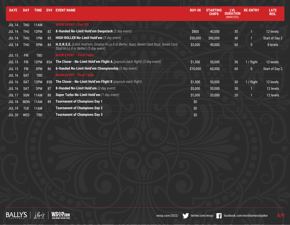| <b>DATE</b>   | <b>DAY</b> | <b>TIME</b> | EV# | <b>EVENT NAME</b>                                                                                                              | <b>BUY-IN</b>    | <b>STARTING</b><br><b>CHIPS</b> | <b>LVL</b><br><b>DURATION</b><br>(MINUTES) | <b>RE-ENTRY</b> | <b>LATE</b><br>REG. |
|---------------|------------|-------------|-----|--------------------------------------------------------------------------------------------------------------------------------|------------------|---------------------------------|--------------------------------------------|-----------------|---------------------|
| <b>JUL 14</b> | <b>THU</b> | 11AM        |     | <b>MAIN EVENT - Day Off</b>                                                                                                    |                  |                                 |                                            |                 |                     |
| <b>JUL 14</b> | <b>THU</b> | 12PM        | 82  | 8-Handed No-Limit Hold'em Deepstack (2 day event)                                                                              | \$800            | 40,000                          | 30                                         |                 | 12 levels           |
| <b>JUL 14</b> | <b>THU</b> | 1PM         | 83  | HIGH ROLLER No-Limit Hold'em (3 day event)                                                                                     | \$50,000         | 300,000                         | 40                                         | 1               | Start of Day 2      |
| <b>JUL 14</b> | <b>THU</b> | 3PM         | 84  | H.O.R.S.E. (Limit Hold'em; Omaha Hi-Lo 8 or Better; Razz; Seven Card Stud; Seven Card<br>Stud Hi-Lo 8 or Better) (3 day event) | \$3,000          | 40,000                          | 60                                         | $\overline{0}$  | 8 levels            |
| <b>JUL 15</b> | FRI        | <b>TBD</b>  |     | <b>MAIN EVENT - Final Table</b>                                                                                                |                  |                                 |                                            |                 |                     |
| <b>JUL 15</b> | FRI        | 12PM        | 85A | <b>The Closer - No-Limit Hold'em Flight A</b> (payouts each flight) (3 day event)                                              | \$1,500          | 50,000                          | 30                                         | 1 / flight      | 12 levels           |
| <b>JUL 15</b> | <b>FRI</b> | 3PM         | 86  | 6-Handed No-Limit Hold'em Championship (3 day event)                                                                           | \$10,000         | 60,000                          | 60                                         | $\mathbf{0}$    | Start of Day 2      |
| <b>JUL 16</b> | <b>SAT</b> | <b>TBD</b>  |     | <b>MAIN EVENT - Final Table</b>                                                                                                |                  |                                 |                                            |                 |                     |
| <b>JUL 16</b> | <b>SAT</b> | 12PM        | 85B | The Closer - No-Limit Hold'em Flight B (payouts each flight)                                                                   | \$1,500          | 50,000                          | 30                                         | 1 / flight      | 12 levels           |
| <b>JUL 16</b> | <b>SAT</b> | 3PM         | 87  | 8-Handed No-Limit Hold'em (2 day event)                                                                                        | \$5,000          | 50,000                          | 30                                         |                 | 12 levels           |
| <b>JUL 17</b> | <b>SUN</b> | 11AM        | 88  | Super Turbo No-Limit Hold'em (1 day event)                                                                                     | \$1,000          | 20,000                          | 20                                         | 1               | 12 levels           |
| <b>JUL 18</b> | <b>MON</b> | 11AM        | 89  | <b>Tournanent of Champions Day 1</b>                                                                                           | \$0              |                                 |                                            |                 |                     |
| <b>JUL 19</b> | <b>TUE</b> | 11AM        |     | <b>Tournanent of Champions Day 2</b>                                                                                           | \$0              |                                 |                                            |                 |                     |
| <b>JUL 20</b> | <b>WED</b> | <b>TBD</b>  |     | <b>Tournanent of Champions Day 3</b>                                                                                           | $\overline{\$0}$ |                                 |                                            |                 |                     |



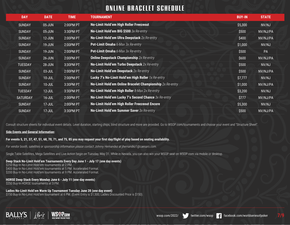# **ONLINE BRACELET SCHEDULE**

| <b>DAY</b>      | <b>DATE</b> | <b>TIME</b> | <b>TOURNAMENT</b>                                             | <b>BUY-IN</b> | <b>STATE</b> |
|-----------------|-------------|-------------|---------------------------------------------------------------|---------------|--------------|
| <b>SUNDAY</b>   | 05-JUN      | 2:00PM PT   | No-Limit Hold'em High Roller Freezeout                        | \$5,300       | NV/NJ        |
| <b>SUNDAY</b>   | 05-JUN      | 3:30PM PT   | No-Limit Hold'em BIG \$500 3x Re-entry                        | \$500         | NV/NJ/PA     |
| <b>SUNDAY</b>   | 12-JUN      | 2:00PM PT   | No-Limit Hold'em Ultra Deepstack 2x Re-entry                  | \$400         | NV/NJ/PA     |
| <b>SUNDAY</b>   | 19-JUN      | 2:00PM PT   | <b>Pot-Limit Omaha</b> 6-Max 3x Re-entry                      | \$1,000       | NV/NJ        |
| <b>SUNDAY</b>   | 19-JUN      | 2:00PM PT   | Pot-Limit Omaha 6-Max 3x Re-entry                             | \$500         | PA           |
| <b>SUNDAY</b>   | 26-JUN      | 2:00PM PT   | <b>Online Deepstack Championship</b> 2x Re-entry              | \$600         | NV/NJ/PA     |
| <b>TUESDAY</b>  | 28-JUN      | 3:30PM PT   | No-Limit Hold'em Turbo Deepstack 2x Re-entry                  | \$500         | NV/NJ        |
| <b>SUNDAY</b>   | 03-JUL      | 2:00PM PT   | No-Limit Hold'em Deepstack 2x Re-entry                        | \$500         | NV/NJ/PA     |
| <b>SUNDAY</b>   | 10-JUL      | 2:00PM PT   | Lucky 7's No-Limit Hold'em High Roller 1x Re-entry            | \$7,777       | NV/NJ        |
| <b>SUNDAY</b>   | $10 - JUL$  | 3:30PM PT   | No-Limit Hold'em Online Bracelet Championship 2x Re-entry     | \$1,000       | NV/NJ/PA     |
| <b>TUESDAY</b>  | $12$ -JUL   | 3:30PM PT   | <b>No-Limit Hold'em High Roller 8-Max 2x Re-entry</b>         | \$3,200       | NV/NJ        |
| <b>SATURDAY</b> | $16$ -JUL   | 2:00PM PT   | No-Limit Hold'em Lucky 7's Second Chance 3x Re-entry          | \$777         | NV/NJ/PA     |
| <b>SUNDAY</b>   | $17 - JUL$  | 2:00PM PT   | No-Limit Hold'em High Roller Freezeout Encore                 | \$5,300       | NV/NJ        |
| <b>SUNDAY</b>   | $17 - JUL$  | 3:30PM PT   | <b>No-Limit Hold'em Summer Saver</b> $\overline{3x}$ Re-entry | \$500         | NV/NJ/PA     |

Consult structure sheets for individual event details. Level duration, starting chips, blind structure and more are provided. Go to WSOP.com/tournaments and choose your event and "Structure Sheet".

# **Side Events and General Information:**

# **For events 5, 21, 37, 47, 51, 68, 70, 71, and 75, 85 you may request your first day/flight of play based on seating availability.**

*For vendor booth, satellites or sponsorship information please contact Johnny Hernandez at jhernandez1@caesars.com.*

Single Table Satellites, Mega Satellites and Live Action begin on Tuesday, May 31. While in Nevada, you can also win your WSOP seat on WSOP.com via mobile or desktop.

# **Deep Stack No-Limit Hold'em Tournaments Every Day June 1 - July 17 (one day events)**

\$250 Buy-In No-Limit Hold'em tournaments at 2 PM. \$400 Buy-In No-Limit Hold'em tournaments at 5 PM. Accelerated Format. \$200 Buy-In No-Limit Hold'em tournaments at 9 PM. Accelerated Format.

#### **HORSE Deep Stack Every Monday June 6 - July 11 (one-day events)** \$250 Buy-In HORSE tournaments at 3 PM.

# **Ladies No-Limit Hold'em Warm Up Tournament Tuesday June 28 (one day event)**

\$150 Buy-In No-Limit Hold'em tournament at 6 PM. (Event Entry is \$1,500; Ladies Discounted Price is \$150).





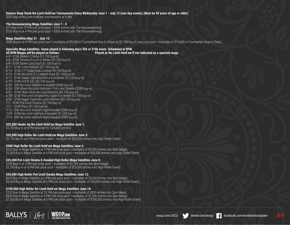#### **Seniors Deep Stack No-Limit Hold'em Tournaments Every Wednesday June 1 - July 13 (one-day events) (Must be 50 years of age or older)**

\$250 Buy-In No-Limit Hold'em tournaments at 9 AM.

#### **The Housewarming Mega Satellites June 1 - 4**

\$75 Buy-In at 12 PM (net prize pool = \$500 entries into The Housewarming) \$130 Buy-In at 4 PM (net prize pool = \$500 entries into The Housewarming)

# **Mega Satellites May 31 - July 15:**

\$580 Buy-In at 8 PM (net prize pool = multiples of \$5,000 in Tournament Buy-In Chips) or \$1,100 Buy-In (net prize pool = multiples of \$10,000 in Tournament Buy-In Chips).

#### **Specialty Mega Satellites. Game played is following day's \$5k or \$10k event. Scheduled at 8PM. All 8PM Megas will be played as follows: Played as No-Limit Hold'em if not indicated as a speciaty mega**

6/4 - \$10K Dealers Choice (\$1,100 buy-in) 6/6 - \$10K Omaha Hi-Lo 8 or Better (\$1,100 buy-in) 6/9 - \$10K Seven Card Stud (\$1,100 buy-in) 6/11 - \$10K Limit Hold'em (\$1,100 buy-in) 6/13 - \$10K 2-7 Triple Draw Lowball (\$1,100 buy-in) 6/16 - \$10K No-Limit 2-7 Lowball Draw (\$1,100 buy-in) 6/17 - \$10K Seven Card Stud Hi-Lo 8 or Better (\$1,100 buy-in) 6/19 - \$10K H.O.R.S.E. (\$1,100 buy-in) 6/20 - \$5K No-Limit Hold'em 6-Handed (\$580 buy-in) 6/24 - \$5K Mixed No-Limit Hold'em / Pot-Limit Omaha (\$580 buy-in) 6/27 - \$10K Short Deck No-Limit Hold'em (\$1,100 buy-in) 6/28 - \$10K Pot-Limit Omaha Hi-Lo Split 8 or Better (\$1,100 buy-in) 6/30 - \$10K Super Turbo No-Limit Hold'em (\$1,100 buy-in) 7/1 - \$10K Pot-Limit Omaha (\$1,100 buy-in) 7/11 - \$10K Razz (\$1,100 buy-in) 7/12 - \$5K No-Limit Hold'em Eight-Handed (\$580 buy-in) 7/14 - \$10K No-Limit Hold'em 6-Handed (\$1,100 buy-in)

7/15 - \$5K No-Limit Hold'em Eight-Handed (\$580 buy-in)

#### **\$25,000 Heads-Up No-Limit Hold'em Mega Satellite June 1:**

\$2,700 Buy-In at 6 PM (bracket for \$25,000 entries)

#### **\$25,000 High Roller No-Limit Hold'em Mega Satellites June 3:**

\$2,700 Buy-In at 6 PM (net prize pool = multiples of \$25,000 entries into High Roller Event).

#### **\$50K High Roller No-Limit Hold'em Mega Satellites June 5:**

\$625 Buy-in Mega Satellite at 3 PM (net prize pool = multiples of \$5,300 entries into 8pm Mega). \$5,300 Buy-in Mega Satellite at 6 PM (net prize pool = multiples of \$50,000 entries into High Roller Event).

#### **\$25,000 Pot-Limit Omaha 8-Handed High Roller Mega Satellites June 8:**

\$320 Buy-In at 3 PM (net prize pool = multiples of \$2,700 entries into 8pm Mega). \$2,700 Buy-In at 6 PM (net prize pool = multiples of \$25,000 entries into High Roller Event).

#### **\$50,000 High Roller Pot-Limit Omaha Mega Satellites June 12:**

\$625 Buy-in Mega Satellite at 3 PM (net prize pool = multiples of \$5,300 entries into 8pm Mega). \$5,300 Buy-in Mega Satellite at 6 PM (net prize pool = multiples of \$50,000 entries into High Roller Event).

#### **\$100,000 High Roller No-Limit Hold'em Mega Satellites June 18:**

\$120 Buy-in Mega Satellite at 12 PM (net prize pool = multiples of \$850 entries into 2pm Mega). \$850 Buy-in Mega Satellite at 3 PM (net prize pool = multiples of \$7,500 entries into 8pm Mega). \$7,500 Buy-in Mega Satellite at 6 PM (net prize pool = multiples of \$100,000 entries into High Roller Event).